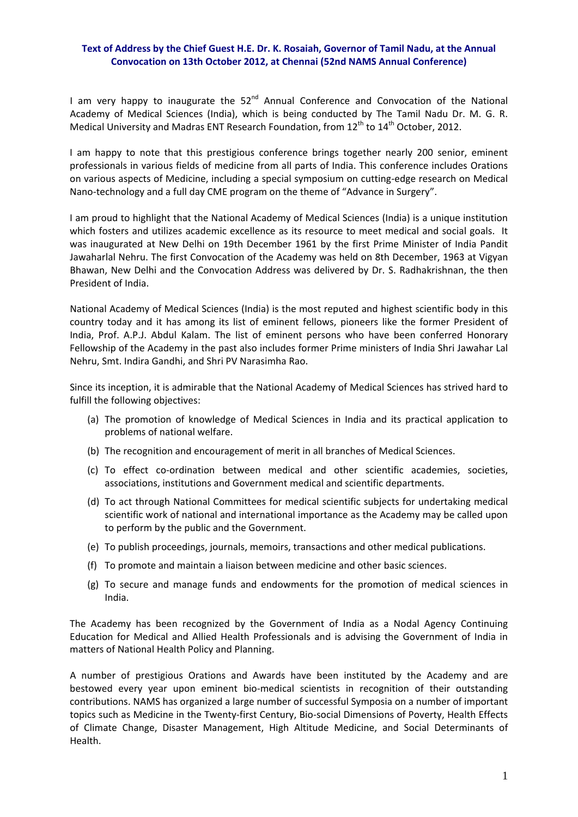## **Text of Address by the Chief Guest H.E. Dr. K. Rosaiah, Governor of Tamil Nadu, at the Annual Convocation on 13th October 2012, at Chennai (52nd NAMS Annual Conference)**

I am very happy to inaugurate the  $52<sup>nd</sup>$  Annual Conference and Convocation of the National Academy of Medical Sciences (India), which is being conducted by The Tamil Nadu Dr. M. G. R. Medical University and Madras ENT Research Foundation, from 12<sup>th</sup> to 14<sup>th</sup> October, 2012.

I am happy to note that this prestigious conference brings together nearly 200 senior, eminent professionals in various fields of medicine from all parts of India. This conference includes Orations on various aspects of Medicine, including a special symposium on cutting‐edge research on Medical Nano-technology and a full day CME program on the theme of "Advance in Surgery".

I am proud to highlight that the National Academy of Medical Sciences (India) is a unique institution which fosters and utilizes academic excellence as its resource to meet medical and social goals. It was inaugurated at New Delhi on 19th December 1961 by the first Prime Minister of India Pandit Jawaharlal Nehru. The first Convocation of the Academy was held on 8th December, 1963 at Vigyan Bhawan, New Delhi and the Convocation Address was delivered by Dr. S. Radhakrishnan, the then President of India.

National Academy of Medical Sciences (India) is the most reputed and highest scientific body in this country today and it has among its list of eminent fellows, pioneers like the former President of India, Prof. A.P.J. Abdul Kalam. The list of eminent persons who have been conferred Honorary Fellowship of the Academy in the past also includes former Prime ministers of India Shri Jawahar Lal Nehru, Smt. Indira Gandhi, and Shri PV Narasimha Rao.

Since its inception, it is admirable that the National Academy of Medical Sciences has strived hard to fulfill the following objectives:

- (a) The promotion of knowledge of Medical Sciences in India and its practical application to problems of national welfare.
- (b) The recognition and encouragement of merit in all branches of Medical Sciences.
- (c) To effect co‐ordination between medical and other scientific academies, societies, associations, institutions and Government medical and scientific departments.
- (d) To act through National Committees for medical scientific subjects for undertaking medical scientific work of national and international importance as the Academy may be called upon to perform by the public and the Government.
- (e) To publish proceedings, journals, memoirs, transactions and other medical publications.
- (f) To promote and maintain a liaison between medicine and other basic sciences.
- (g) To secure and manage funds and endowments for the promotion of medical sciences in India.

The Academy has been recognized by the Government of India as a Nodal Agency Continuing Education for Medical and Allied Health Professionals and is advising the Government of India in matters of National Health Policy and Planning.

A number of prestigious Orations and Awards have been instituted by the Academy and are bestowed every year upon eminent bio‐medical scientists in recognition of their outstanding contributions. NAMS has organized a large number of successful Symposia on a number of important topics such as Medicine in the Twenty‐first Century, Bio‐social Dimensions of Poverty, Health Effects of Climate Change, Disaster Management, High Altitude Medicine, and Social Determinants of Health.